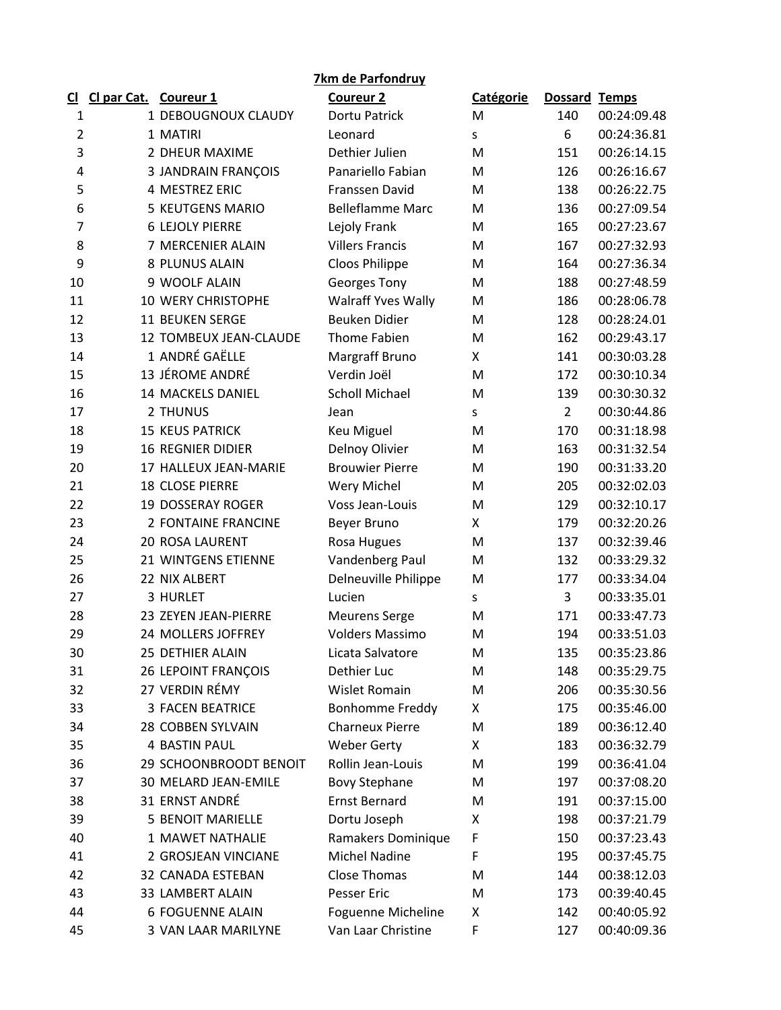| 7km de Parfondruy |                       |                            |                         |                  |                |             |  |  |  |  |
|-------------------|-----------------------|----------------------------|-------------------------|------------------|----------------|-------------|--|--|--|--|
| <u>ଧ</u>          | Cl par Cat. Coureur 1 |                            | <b>Coureur 2</b>        | <b>Catégorie</b> | Dossard Temps  |             |  |  |  |  |
| 1                 |                       | 1 DEBOUGNOUX CLAUDY        | Dortu Patrick           | M                | 140            | 00:24:09.48 |  |  |  |  |
| $\overline{2}$    |                       | 1 MATIRI                   | Leonard                 | S                | 6              | 00:24:36.81 |  |  |  |  |
| 3                 |                       | 2 DHEUR MAXIME             | Dethier Julien          | M                | 151            | 00:26:14.15 |  |  |  |  |
| 4                 |                       | <b>3 JANDRAIN FRANÇOIS</b> | Panariello Fabian       | M                | 126            | 00:26:16.67 |  |  |  |  |
| 5                 |                       | 4 MESTREZ ERIC             | Franssen David          | M                | 138            | 00:26:22.75 |  |  |  |  |
| 6                 |                       | 5 KEUTGENS MARIO           | <b>Belleflamme Marc</b> | M                | 136            | 00:27:09.54 |  |  |  |  |
| $\overline{7}$    |                       | <b>6 LEJOLY PIERRE</b>     | Lejoly Frank            | M                | 165            | 00:27:23.67 |  |  |  |  |
| 8                 |                       | 7 MERCENIER ALAIN          | <b>Villers Francis</b>  | M                | 167            | 00:27:32.93 |  |  |  |  |
| 9                 |                       | 8 PLUNUS ALAIN             | Cloos Philippe          | M                | 164            | 00:27:36.34 |  |  |  |  |
| 10                |                       | 9 WOOLF ALAIN              | Georges Tony            | M                | 188            | 00:27:48.59 |  |  |  |  |
| 11                |                       | 10 WERY CHRISTOPHE         | Walraff Yves Wally      | M                | 186            | 00:28:06.78 |  |  |  |  |
| 12                |                       | <b>11 BEUKEN SERGE</b>     | <b>Beuken Didier</b>    | M                | 128            | 00:28:24.01 |  |  |  |  |
| 13                |                       | 12 TOMBEUX JEAN-CLAUDE     | Thome Fabien            | M                | 162            | 00:29:43.17 |  |  |  |  |
| 14                |                       | 1 ANDRÉ GAËLLE             | Margraff Bruno          | X                | 141            | 00:30:03.28 |  |  |  |  |
| 15                |                       | 13 JÉROME ANDRÉ            | Verdin Joël             | M                | 172            | 00:30:10.34 |  |  |  |  |
| 16                |                       | <b>14 MACKELS DANIEL</b>   | <b>Scholl Michael</b>   | M                | 139            | 00:30:30.32 |  |  |  |  |
| 17                |                       | 2 THUNUS                   | Jean                    | S                | $\overline{2}$ | 00:30:44.86 |  |  |  |  |
| 18                |                       | <b>15 KEUS PATRICK</b>     | Keu Miguel              | M                | 170            | 00:31:18.98 |  |  |  |  |
| 19                |                       | <b>16 REGNIER DIDIER</b>   | Delnoy Olivier          | M                | 163            | 00:31:32.54 |  |  |  |  |
| 20                |                       | 17 HALLEUX JEAN-MARIE      | <b>Brouwier Pierre</b>  | M                | 190            | 00:31:33.20 |  |  |  |  |
| 21                |                       | <b>18 CLOSE PIERRE</b>     | Wery Michel             | M                | 205            | 00:32:02.03 |  |  |  |  |
| 22                |                       | <b>19 DOSSERAY ROGER</b>   | Voss Jean-Louis         | M                | 129            | 00:32:10.17 |  |  |  |  |
| 23                |                       | <b>2 FONTAINE FRANCINE</b> | Beyer Bruno             | X                | 179            | 00:32:20.26 |  |  |  |  |
| 24                |                       | <b>20 ROSA LAURENT</b>     | Rosa Hugues             | M                | 137            | 00:32:39.46 |  |  |  |  |
| 25                |                       | 21 WINTGENS ETIENNE        | Vandenberg Paul         | M                | 132            | 00:33:29.32 |  |  |  |  |
| 26                |                       | 22 NIX ALBERT              | Delneuville Philippe    | M                | 177            | 00:33:34.04 |  |  |  |  |
| 27                |                       | 3 HURLET                   | Lucien                  | S                | 3              | 00:33:35.01 |  |  |  |  |
| 28                |                       | 23 ZEYEN JEAN-PIERRE       | <b>Meurens Serge</b>    | M                | 171            | 00:33:47.73 |  |  |  |  |
| 29                |                       | 24 MOLLERS JOFFREY         | <b>Volders Massimo</b>  | M                | 194            | 00:33:51.03 |  |  |  |  |
| 30                |                       | 25 DETHIER ALAIN           | Licata Salvatore        | M                | 135            | 00:35:23.86 |  |  |  |  |
| 31                |                       | 26 LEPOINT FRANÇOIS        | Dethier Luc             | M                | 148            | 00:35:29.75 |  |  |  |  |
| 32                |                       | 27 VERDIN RÉMY             | Wislet Romain           | M                | 206            | 00:35:30.56 |  |  |  |  |
| 33                |                       | <b>3 FACEN BEATRICE</b>    | <b>Bonhomme Freddy</b>  | X                | 175            | 00:35:46.00 |  |  |  |  |
| 34                |                       | 28 COBBEN SYLVAIN          | <b>Charneux Pierre</b>  | M                | 189            | 00:36:12.40 |  |  |  |  |
| 35                |                       | <b>4 BASTIN PAUL</b>       | <b>Weber Gerty</b>      | X                | 183            | 00:36:32.79 |  |  |  |  |
| 36                |                       | 29 SCHOONBROODT BENOIT     | Rollin Jean-Louis       | M                | 199            | 00:36:41.04 |  |  |  |  |
| 37                |                       | 30 MELARD JEAN-EMILE       | <b>Bovy Stephane</b>    | M                | 197            | 00:37:08.20 |  |  |  |  |
| 38                |                       | 31 ERNST ANDRÉ             | <b>Ernst Bernard</b>    | M                | 191            | 00:37:15.00 |  |  |  |  |
| 39                |                       | <b>5 BENOIT MARIELLE</b>   | Dortu Joseph            | Χ                | 198            | 00:37:21.79 |  |  |  |  |
| 40                |                       | 1 MAWET NATHALIE           | Ramakers Dominique      | F                | 150            | 00:37:23.43 |  |  |  |  |
| 41                |                       | 2 GROSJEAN VINCIANE        | <b>Michel Nadine</b>    | F                | 195            | 00:37:45.75 |  |  |  |  |
| 42                |                       | 32 CANADA ESTEBAN          | <b>Close Thomas</b>     | M                | 144            | 00:38:12.03 |  |  |  |  |
| 43                |                       | 33 LAMBERT ALAIN           | Pesser Eric             | M                | 173            | 00:39:40.45 |  |  |  |  |
| 44                |                       | <b>6 FOGUENNE ALAIN</b>    | Foguenne Micheline      | X                | 142            | 00:40:05.92 |  |  |  |  |
| 45                |                       | 3 VAN LAAR MARILYNE        | Van Laar Christine      | F                | 127            | 00:40:09.36 |  |  |  |  |